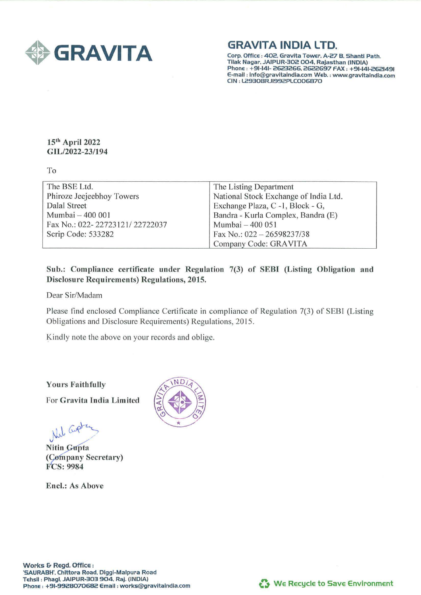

## **GRAVITA INDIA LTD.**

Corp. Office : 402, Gravita Tower, A-27 B, Shanti Path. Tllak Nagar. JAIPUR-302 004, Rajasthan (INDIA) Phone : +91-141- 2623266. 2622697 FAX : +91-141-2621491 E-mail : lnfo@gravltalndla.com Web. : www.gravltalndla.com CIN : L2930BRJI992PLC006870

## 15<sup>th</sup> April 2022 G IL/2022-23/194

To

| The BSE Ltd.                   | The Listing Department                |
|--------------------------------|---------------------------------------|
| Phiroze Jeejeebhoy Towers      | National Stock Exchange of India Ltd. |
| Dalal Street                   | Exchange Plaza, C -1, Block - G,      |
| Mumbai - 400 001               | Bandra - Kurla Complex, Bandra (E)    |
| Fax No.: 022-22723121/22722037 | Mumbai - 400 051                      |
| Scrip Code: 533282             | Fax No.: $022 - 26598237/38$          |
|                                | Company Code: GRAVITA                 |

## Sub.: Compliance certificate under Regulation 7(3) of SEBI (Listing Obligation and Disclosure Requirements) Regulations, 2015.

Dear Sir/Madam

Please find enclosed Compliance Certificate in compliance of Regulation 7(3) of SEBI (Listing Obligations and Disclosure Requirements) Regulations, 20 15.

Kindly note the above on your records and oblige.

Yours Faithfully

For Gravita India Limited

Nel Cupter

**Nitin Gupta** (Company Secretary) **FCS: 9984** 

Encl.: As Above